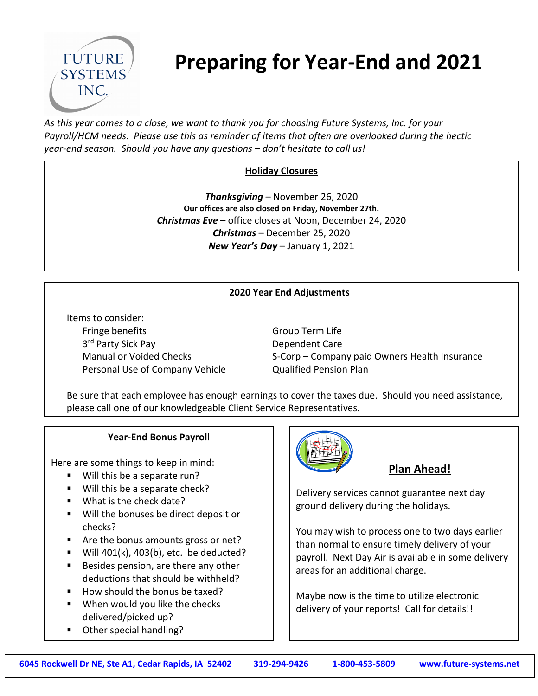

# **Preparing for Year-End and 2021**

*As this year comes to a close, we want to thank you for choosing Future Systems, Inc. for your Payroll/HCM needs. Please use this as reminder of items that often are overlooked during the hectic year-end season. Should you have any questions – don't hesitate to call us!*

## **Holiday Closures**

*Thanksgiving* – November 26, 2020 **Our offices are also closed on Friday, November 27th.** *Christmas Eve* – office closes at Noon, December 24, 2020 *Christmas* – December 25, 2020 *New Year's Day* – January 1, 2021

#### **2020 Year End Adjustments**

Items to consider: Fringe benefits Group Term Life 3rd Party Sick Pay **Dependent Care** Personal Use of Company Vehicle **Qualified Pension Plan** 

Manual or Voided Checks S-Corp – Company paid Owners Health Insurance

Be sure that each employee has enough earnings to cover the taxes due. Should you need assistance, please call one of our knowledgeable Client Service Representatives.

#### **Year-End Bonus Payroll**

Here are some things to keep in mind:

- Will this be a separate run?
- Will this be a separate check?
- What is the check date?
- Will the bonuses be direct deposit or checks?
- Are the bonus amounts gross or net?
- Will  $401(k)$ ,  $403(b)$ , etc. be deducted?
- Besides pension, are there any other deductions that should be withheld?
- How should the bonus be taxed?
- **When would you like the checks** delivered/picked up?
- Other special handling?



#### **Plan Ahead!**

Delivery services cannot guarantee next day ground delivery during the holidays.

You may wish to process one to two days earlier than normal to ensure timely delivery of your payroll. Next Day Air is available in some delivery areas for an additional charge.

Maybe now is the time to utilize electronic delivery of your reports! Call for details!!